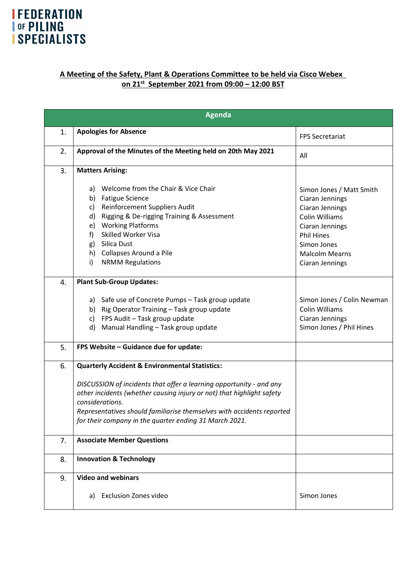## **IFEDERATION THE PILING**<br> **SPECIALISTS**

## **A Meeting of the Safety, Plant & Operations Committee to be held via Cisco Webex on 21 st September 2021 from 09:00 – 12:00 BST**

| <b>Agenda</b> |                                                                                                                                                                                                                                                                                                                                                                 |                                                                                             |
|---------------|-----------------------------------------------------------------------------------------------------------------------------------------------------------------------------------------------------------------------------------------------------------------------------------------------------------------------------------------------------------------|---------------------------------------------------------------------------------------------|
| 1.            | <b>Apologies for Absence</b>                                                                                                                                                                                                                                                                                                                                    | <b>FPS Secretariat</b>                                                                      |
| 2.            | Approval of the Minutes of the Meeting held on 20th May 2021                                                                                                                                                                                                                                                                                                    | All                                                                                         |
| 3.            | <b>Matters Arising:</b><br>Welcome from the Chair & Vice Chair<br>a)                                                                                                                                                                                                                                                                                            | Simon Jones / Matt Smith                                                                    |
|               | b) Fatigue Science<br>Reinforcement Suppliers Audit<br>C)<br>Rigging & De-rigging Training & Assessment<br>d)                                                                                                                                                                                                                                                   | Ciaran Jennings<br>Ciaran Jennings<br>Colin Williams                                        |
|               | e) Working Platforms<br><b>Skilled Worker Visa</b><br>f<br>Silica Dust<br>g)                                                                                                                                                                                                                                                                                    | Ciaran Jennings<br><b>Phil Hines</b><br>Simon Jones                                         |
|               | h) Collapses Around a Pile<br>i)<br><b>NRMM Regulations</b>                                                                                                                                                                                                                                                                                                     | <b>Malcolm Mearns</b><br>Ciaran Jennings                                                    |
| 4.            | <b>Plant Sub-Group Updates:</b>                                                                                                                                                                                                                                                                                                                                 |                                                                                             |
|               | a) Safe use of Concrete Pumps - Task group update<br>b) Rig Operator Training - Task group update<br>FPS Audit - Task group update<br>c)<br>Manual Handling - Task group update<br>d)                                                                                                                                                                           | Simon Jones / Colin Newman<br>Colin Williams<br>Ciaran Jennings<br>Simon Jones / Phil Hines |
| 5.            | FPS Website - Guidance due for update:                                                                                                                                                                                                                                                                                                                          |                                                                                             |
| 6.            | <b>Quarterly Accident &amp; Environmental Statistics:</b><br>DISCUSSION of incidents that offer a learning opportunity - and any<br>other incidents (whether causing injury or not) that highlight safety<br>considerations.<br>Representatives should familiarise themselves with accidents reported<br>for their company in the quarter ending 31 March 2021. |                                                                                             |
| 7.            | <b>Associate Member Questions</b>                                                                                                                                                                                                                                                                                                                               |                                                                                             |
| 8.            | <b>Innovation &amp; Technology</b>                                                                                                                                                                                                                                                                                                                              |                                                                                             |
| 9.            | <b>Video and webinars</b><br><b>Exclusion Zones video</b><br>a)                                                                                                                                                                                                                                                                                                 | Simon Jones                                                                                 |